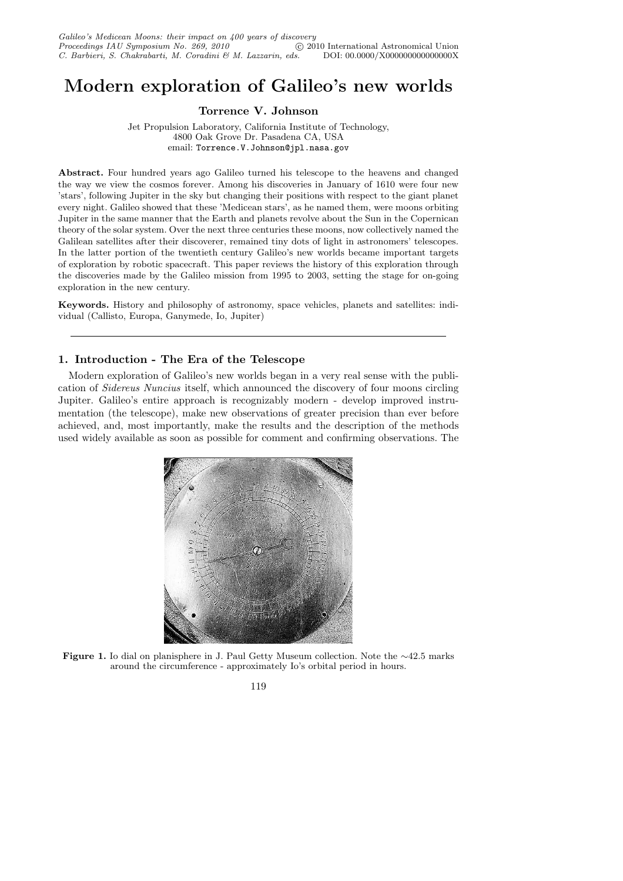# Modern exploration of Galileo's new worlds

# Torrence V. Johnson

Jet Propulsion Laboratory, California Institute of Technology, 4800 Oak Grove Dr. Pasadena CA, USA email: Torrence.V.Johnson@jpl.nasa.gov

Abstract. Four hundred years ago Galileo turned his telescope to the heavens and changed the way we view the cosmos forever. Among his discoveries in January of 1610 were four new 'stars', following Jupiter in the sky but changing their positions with respect to the giant planet every night. Galileo showed that these 'Medicean stars', as he named them, were moons orbiting Jupiter in the same manner that the Earth and planets revolve about the Sun in the Copernican theory of the solar system. Over the next three centuries these moons, now collectively named the Galilean satellites after their discoverer, remained tiny dots of light in astronomers' telescopes. In the latter portion of the twentieth century Galileo's new worlds became important targets of exploration by robotic spacecraft. This paper reviews the history of this exploration through the discoveries made by the Galileo mission from 1995 to 2003, setting the stage for on-going exploration in the new century.

Keywords. History and philosophy of astronomy, space vehicles, planets and satellites: individual (Callisto, Europa, Ganymede, Io, Jupiter)

# 1. Introduction - The Era of the Telescope

Modern exploration of Galileo's new worlds began in a very real sense with the publication of Sidereus Nuncius itself, which announced the discovery of four moons circling Jupiter. Galileo's entire approach is recognizably modern - develop improved instrumentation (the telescope), make new observations of greater precision than ever before achieved, and, most importantly, make the results and the description of the methods used widely available as soon as possible for comment and confirming observations. The



Figure 1. Io dial on planisphere in J. Paul Getty Museum collection. Note the ∼42.5 marks around the circumference - approximately Io's orbital period in hours.

119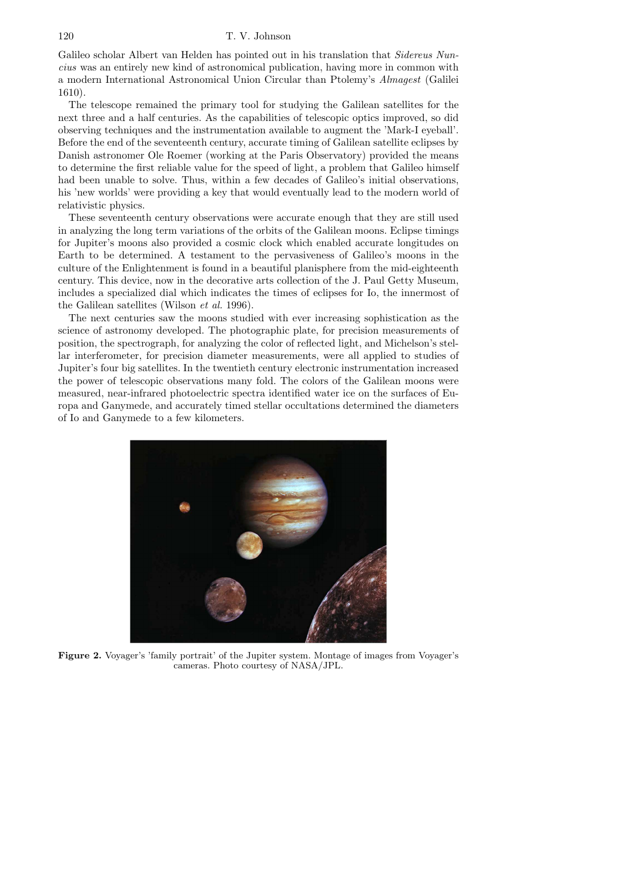#### 120 T. V. Johnson

Galileo scholar Albert van Helden has pointed out in his translation that Sidereus Nuncius was an entirely new kind of astronomical publication, having more in common with a modern International Astronomical Union Circular than Ptolemy's Almagest (Galilei 1610).

The telescope remained the primary tool for studying the Galilean satellites for the next three and a half centuries. As the capabilities of telescopic optics improved, so did observing techniques and the instrumentation available to augment the 'Mark-I eyeball'. Before the end of the seventeenth century, accurate timing of Galilean satellite eclipses by Danish astronomer Ole Roemer (working at the Paris Observatory) provided the means to determine the first reliable value for the speed of light, a problem that Galileo himself had been unable to solve. Thus, within a few decades of Galileo's initial observations, his 'new worlds' were providing a key that would eventually lead to the modern world of relativistic physics.

These seventeenth century observations were accurate enough that they are still used in analyzing the long term variations of the orbits of the Galilean moons. Eclipse timings for Jupiter's moons also provided a cosmic clock which enabled accurate longitudes on Earth to be determined. A testament to the pervasiveness of Galileo's moons in the culture of the Enlightenment is found in a beautiful planisphere from the mid-eighteenth century. This device, now in the decorative arts collection of the J. Paul Getty Museum, includes a specialized dial which indicates the times of eclipses for Io, the innermost of the Galilean satellites (Wilson et al. 1996).

The next centuries saw the moons studied with ever increasing sophistication as the science of astronomy developed. The photographic plate, for precision measurements of position, the spectrograph, for analyzing the color of reflected light, and Michelson's stellar interferometer, for precision diameter measurements, were all applied to studies of Jupiter's four big satellites. In the twentieth century electronic instrumentation increased the power of telescopic observations many fold. The colors of the Galilean moons were measured, near-infrared photoelectric spectra identified water ice on the surfaces of Europa and Ganymede, and accurately timed stellar occultations determined the diameters of Io and Ganymede to a few kilometers.



Figure 2. Voyager's 'family portrait' of the Jupiter system. Montage of images from Voyager's cameras. Photo courtesy of NASA/JPL.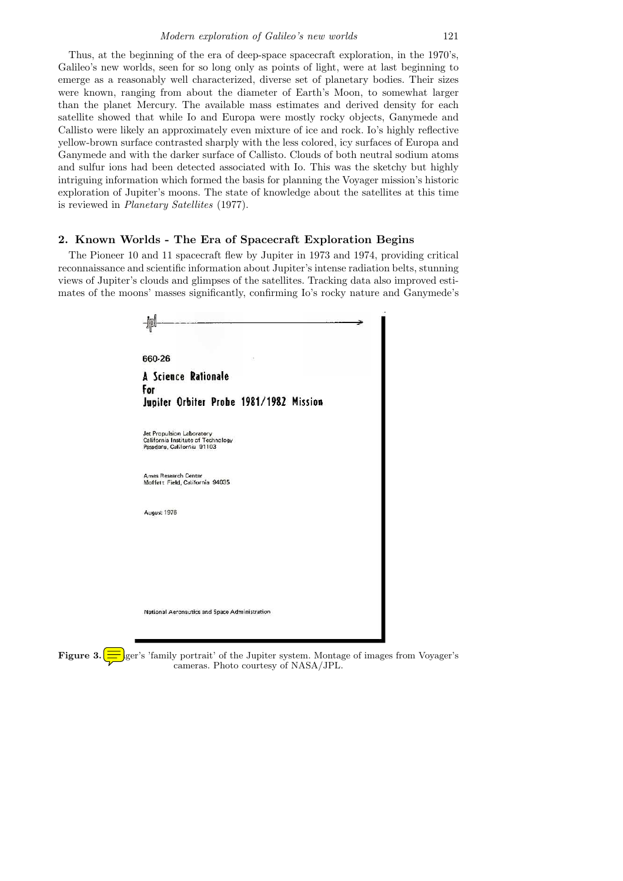Thus, at the beginning of the era of deep-space spacecraft exploration, in the 1970's, Galileo's new worlds, seen for so long only as points of light, were at last beginning to emerge as a reasonably well characterized, diverse set of planetary bodies. Their sizes were known, ranging from about the diameter of Earth's Moon, to somewhat larger than the planet Mercury. The available mass estimates and derived density for each satellite showed that while Io and Europa were mostly rocky objects, Ganymede and Callisto were likely an approximately even mixture of ice and rock. Io's highly reflective yellow-brown surface contrasted sharply with the less colored, icy surfaces of Europa and Ganymede and with the darker surface of Callisto. Clouds of both neutral sodium atoms and sulfur ions had been detected associated with Io. This was the sketchy but highly intriguing information which formed the basis for planning the Voyager mission's historic exploration of Jupiter's moons. The state of knowledge about the satellites at this time is reviewed in Planetary Satellites (1977).

#### 2. Known Worlds - The Era of Spacecraft Exploration Begins

The Pioneer 10 and 11 spacecraft flew by Jupiter in 1973 and 1974, providing critical reconnaissance and scientific information about Jupiter's intense radiation belts, stunning views of Jupiter's clouds and glimpses of the satellites. Tracking data also improved estimates of the moons' masses significantly, confirming Io's rocky nature and Ganymede's

| 660-26               |                                                                                               |                                         |  |  |
|----------------------|-----------------------------------------------------------------------------------------------|-----------------------------------------|--|--|
| For                  | <b>A Science Rationale</b>                                                                    |                                         |  |  |
|                      |                                                                                               | Jupiter Orbiter Probe 1981/1982 Mission |  |  |
|                      | Jet Propulsion Laboratory<br>California Institute of Technology<br>Pasadena, California 91103 |                                         |  |  |
| Ames Research Center | Moffett Field, California 94035                                                               |                                         |  |  |
| August 1976          |                                                                                               |                                         |  |  |
|                      |                                                                                               |                                         |  |  |
|                      |                                                                                               |                                         |  |  |
|                      |                                                                                               |                                         |  |  |
|                      |                                                                                               |                                         |  |  |

Figure 3.  $\equiv$  ger's 'family portrait' of the Jupiter system. Montage of images from Voyager's cameras. Photo courtesy of NASA/JPL.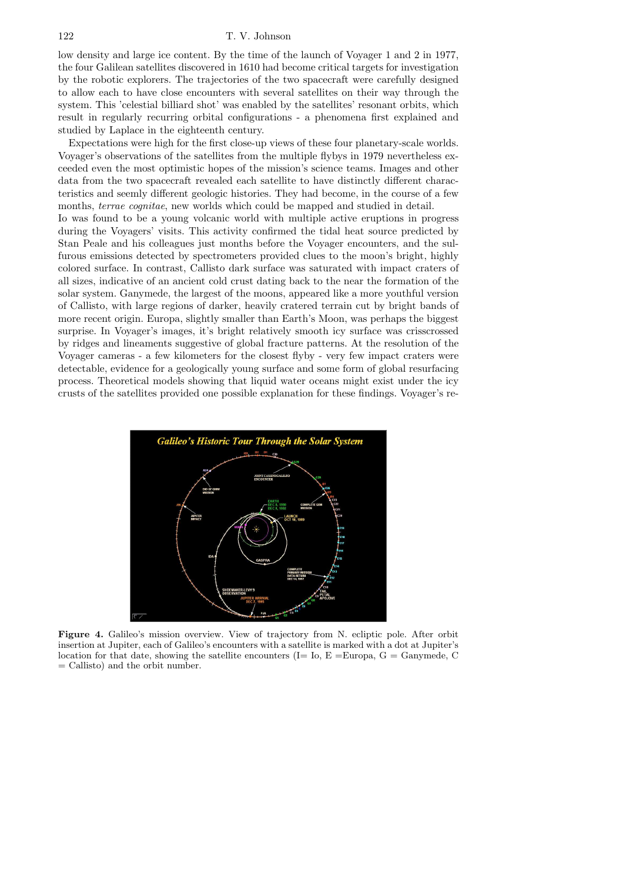low density and large ice content. By the time of the launch of Voyager 1 and 2 in 1977, the four Galilean satellites discovered in 1610 had become critical targets for investigation by the robotic explorers. The trajectories of the two spacecraft were carefully designed to allow each to have close encounters with several satellites on their way through the system. This 'celestial billiard shot' was enabled by the satellites' resonant orbits, which result in regularly recurring orbital configurations - a phenomena first explained and studied by Laplace in the eighteenth century.

Expectations were high for the first close-up views of these four planetary-scale worlds. Voyager's observations of the satellites from the multiple flybys in 1979 nevertheless exceeded even the most optimistic hopes of the mission's science teams. Images and other data from the two spacecraft revealed each satellite to have distinctly different characteristics and seemly different geologic histories. They had become, in the course of a few months, *terrae cognitae*, new worlds which could be mapped and studied in detail. Io was found to be a young volcanic world with multiple active eruptions in progress during the Voyagers' visits. This activity confirmed the tidal heat source predicted by Stan Peale and his colleagues just months before the Voyager encounters, and the sulfurous emissions detected by spectrometers provided clues to the moon's bright, highly colored surface. In contrast, Callisto dark surface was saturated with impact craters of all sizes, indicative of an ancient cold crust dating back to the near the formation of the solar system. Ganymede, the largest of the moons, appeared like a more youthful version of Callisto, with large regions of darker, heavily cratered terrain cut by bright bands of more recent origin. Europa, slightly smaller than Earth's Moon, was perhaps the biggest surprise. In Voyager's images, it's bright relatively smooth icy surface was crisscrossed by ridges and lineaments suggestive of global fracture patterns. At the resolution of the Voyager cameras - a few kilometers for the closest flyby - very few impact craters were detectable, evidence for a geologically young surface and some form of global resurfacing process. Theoretical models showing that liquid water oceans might exist under the icy crusts of the satellites provided one possible explanation for these findings. Voyager's re-



Figure 4. Galileo's mission overview. View of trajectory from N. ecliptic pole. After orbit insertion at Jupiter, each of Galileo's encounters with a satellite is marked with a dot at Jupiter's location for that date, showing the satellite encounters (I= Io, E = Europa, G = Ganymede, C = Callisto) and the orbit number.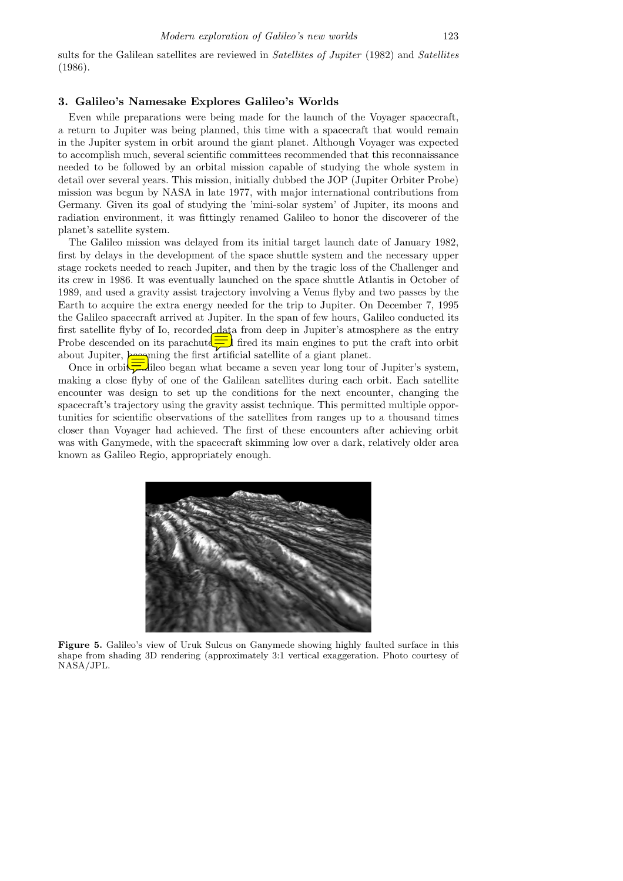sults for the Galilean satellites are reviewed in *Satellites of Jupiter* (1982) and *Satellites* (1986).

# 3. Galileo's Namesake Explores Galileo's Worlds

Even while preparations were being made for the launch of the Voyager spacecraft, a return to Jupiter was being planned, this time with a spacecraft that would remain in the Jupiter system in orbit around the giant planet. Although Voyager was expected to accomplish much, several scientific committees recommended that this reconnaissance needed to be followed by an orbital mission capable of studying the whole system in detail over several years. This mission, initially dubbed the JOP (Jupiter Orbiter Probe) mission was begun by NASA in late 1977, with major international contributions from Germany. Given its goal of studying the 'mini-solar system' of Jupiter, its moons and radiation environment, it was fittingly renamed Galileo to honor the discoverer of the planet's satellite system.

The Galileo mission was delayed from its initial target launch date of January 1982, first by delays in the development of the space shuttle system and the necessary upper stage rockets needed to reach Jupiter, and then by the tragic loss of the Challenger and its crew in 1986. It was eventually launched on the space shuttle Atlantis in October of 1989, and used a gravity assist trajectory involving a Venus flyby and two passes by the Earth to acquire the extra energy needed for the trip to Jupiter. On December 7, 1995 the Galileo spacecraft arrived at Jupiter. In the span of few hours, Galileo conducted its first satellite flyby of Io, recorded data from deep in Jupiter's atmosphere as the entry Probe descended on its parachute  $\equiv$  fired its main engines to put the craft into orbit about Jupiter,  $\frac{\log n}{n}$  ing the first artificial satellite of a giant planet.

Once in orbit  $\sqrt{\text{gcd}}$  lies began what became a seven year long tour of Jupiter's system, making a close flyby of one of the Galilean satellites during each orbit. Each satellite encounter was design to set up the conditions for the next encounter, changing the spacecraft's trajectory using the gravity assist technique. This permitted multiple opportunities for scientific observations of the satellites from ranges up to a thousand times closer than Voyager had achieved. The first of these encounters after achieving orbit was with Ganymede, with the spacecraft skimming low over a dark, relatively older area known as Galileo Regio, appropriately enough.



Figure 5. Galileo's view of Uruk Sulcus on Ganymede showing highly faulted surface in this shape from shading 3D rendering (approximately 3:1 vertical exaggeration. Photo courtesy of NASA/JPL.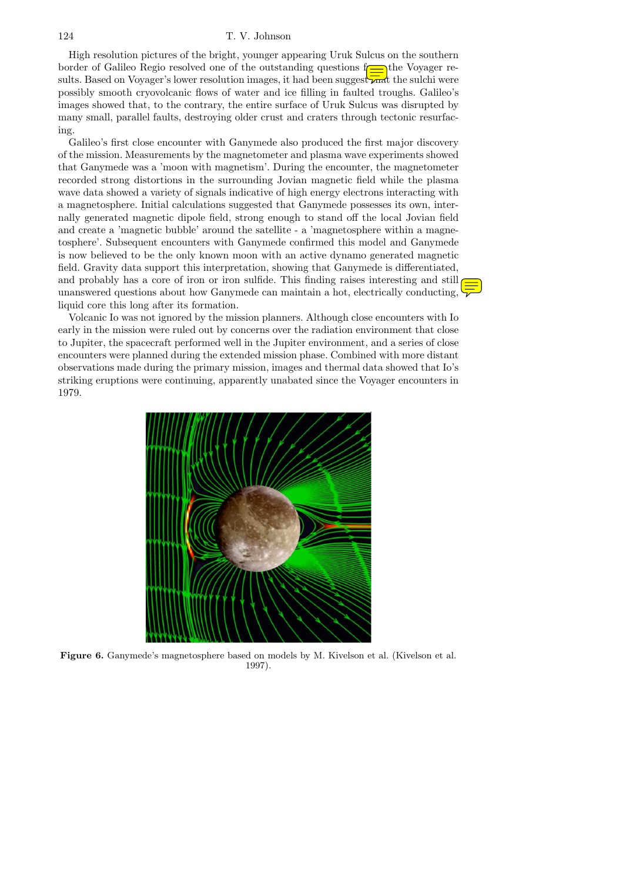### 124 T. V. Johnson

High resolution pictures of the bright, younger appearing Uruk Sulcus on the southern border of Galileo Regio resolved one of the outstanding questions  $f_{\text{max}}$  the Voyager results. Based on Voyager's lower resolution images, it had been suggest  $\sqrt{m}d$  the sulchi were possibly smooth cryovolcanic flows of water and ice filling in faulted troughs. Galileo's images showed that, to the contrary, the entire surface of Uruk Sulcus was disrupted by many small, parallel faults, destroying older crust and craters through tectonic resurfacing.

Galileo's first close encounter with Ganymede also produced the first major discovery of the mission. Measurements by the magnetometer and plasma wave experiments showed that Ganymede was a 'moon with magnetism'. During the encounter, the magnetometer recorded strong distortions in the surrounding Jovian magnetic field while the plasma wave data showed a variety of signals indicative of high energy electrons interacting with a magnetosphere. Initial calculations suggested that Ganymede possesses its own, internally generated magnetic dipole field, strong enough to stand off the local Jovian field and create a 'magnetic bubble' around the satellite - a 'magnetosphere within a magnetosphere'. Subsequent encounters with Ganymede confirmed this model and Ganymede is now believed to be the only known moon with an active dynamo generated magnetic field. Gravity data support this interpretation, showing that Ganymede is differentiated, and probably has a core of iron or iron sulfide. This finding raises interesting and still unanswered questions about how Ganymede can maintain a hot, electrically conducting, liquid core this long after its formation.

Volcanic Io was not ignored by the mission planners. Although close encounters with Io early in the mission were ruled out by concerns over the radiation environment that close to Jupiter, the spacecraft performed well in the Jupiter environment, and a series of close encounters were planned during the extended mission phase. Combined with more distant observations made during the primary mission, images and thermal data showed that Io's striking eruptions were continuing, apparently unabated since the Voyager encounters in 1979.



Figure 6. Ganymede's magnetosphere based on models by M. Kivelson et al. (Kivelson et al. 1997).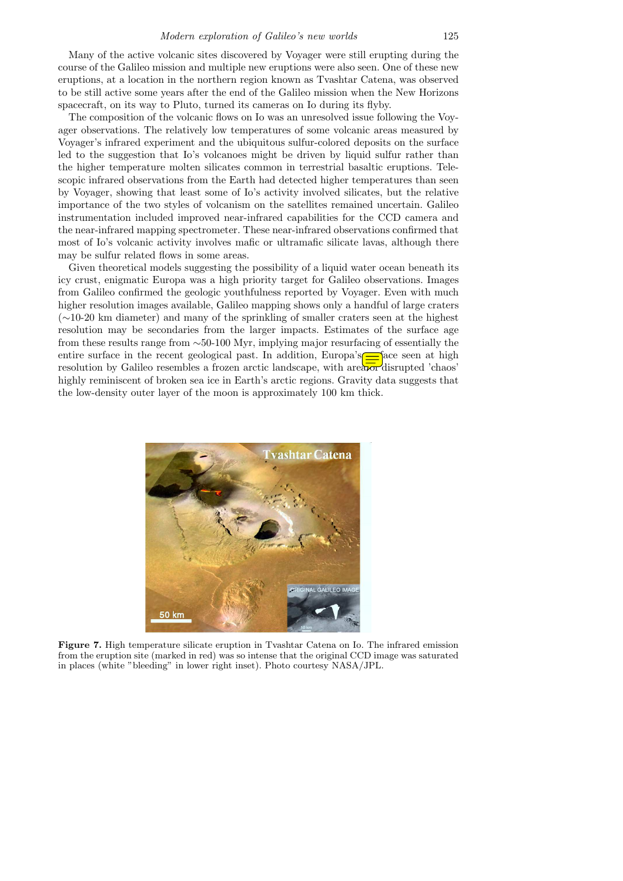Many of the active volcanic sites discovered by Voyager were still erupting during the course of the Galileo mission and multiple new eruptions were also seen. One of these new eruptions, at a location in the northern region known as Tvashtar Catena, was observed to be still active some years after the end of the Galileo mission when the New Horizons spacecraft, on its way to Pluto, turned its cameras on Io during its flyby.

The composition of the volcanic flows on Io was an unresolved issue following the Voyager observations. The relatively low temperatures of some volcanic areas measured by Voyager's infrared experiment and the ubiquitous sulfur-colored deposits on the surface led to the suggestion that Io's volcanoes might be driven by liquid sulfur rather than the higher temperature molten silicates common in terrestrial basaltic eruptions. Telescopic infrared observations from the Earth had detected higher temperatures than seen by Voyager, showing that least some of Io's activity involved silicates, but the relative importance of the two styles of volcanism on the satellites remained uncertain. Galileo instrumentation included improved near-infrared capabilities for the CCD camera and the near-infrared mapping spectrometer. These near-infrared observations confirmed that most of Io's volcanic activity involves mafic or ultramafic silicate lavas, although there may be sulfur related flows in some areas.

Given theoretical models suggesting the possibility of a liquid water ocean beneath its icy crust, enigmatic Europa was a high priority target for Galileo observations. Images from Galileo confirmed the geologic youthfulness reported by Voyager. Even with much higher resolution images available, Galileo mapping shows only a handful of large craters (∼10-20 km diameter) and many of the sprinkling of smaller craters seen at the highest resolution may be secondaries from the larger impacts. Estimates of the surface age from these results range from ∼50-100 Myr, implying major resurfacing of essentially the entire surface in the recent geological past. In addition, Europa's  $\frac{1}{\sqrt{2}}$  ace seen at high resolution by Galileo resembles a frozen arctic landscape, with area $\overline{\text{cor}}$  disrupted 'chaos' highly reminiscent of broken sea ice in Earth's arctic regions. Gravity data suggests that the low-density outer layer of the moon is approximately 100 km thick.



Figure 7. High temperature silicate eruption in Tvashtar Catena on Io. The infrared emission from the eruption site (marked in red) was so intense that the original CCD image was saturated in places (white "bleeding" in lower right inset). Photo courtesy NASA/JPL.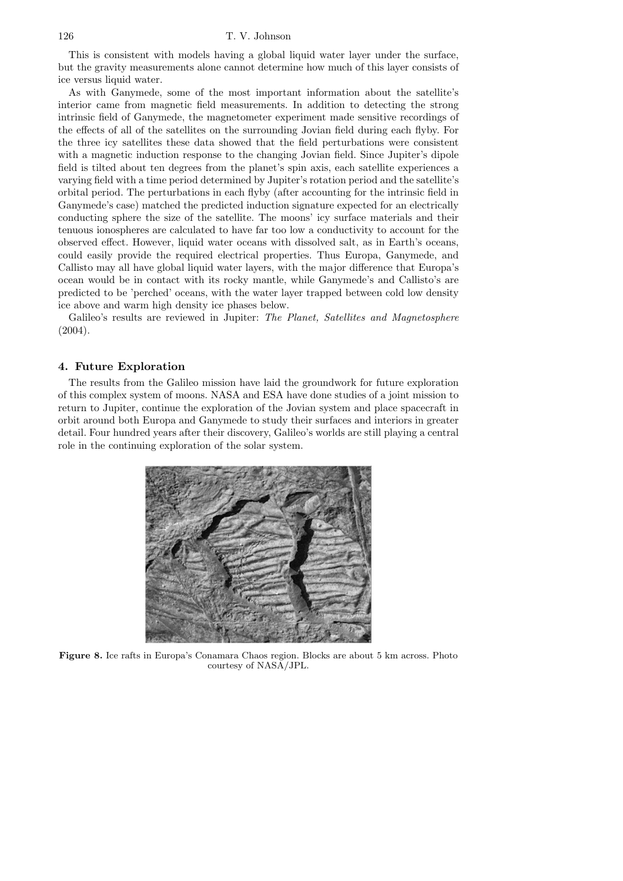This is consistent with models having a global liquid water layer under the surface, but the gravity measurements alone cannot determine how much of this layer consists of ice versus liquid water.

As with Ganymede, some of the most important information about the satellite's interior came from magnetic field measurements. In addition to detecting the strong intrinsic field of Ganymede, the magnetometer experiment made sensitive recordings of the effects of all of the satellites on the surrounding Jovian field during each flyby. For the three icy satellites these data showed that the field perturbations were consistent with a magnetic induction response to the changing Jovian field. Since Jupiter's dipole field is tilted about ten degrees from the planet's spin axis, each satellite experiences a varying field with a time period determined by Jupiter's rotation period and the satellite's orbital period. The perturbations in each flyby (after accounting for the intrinsic field in Ganymede's case) matched the predicted induction signature expected for an electrically conducting sphere the size of the satellite. The moons' icy surface materials and their tenuous ionospheres are calculated to have far too low a conductivity to account for the observed effect. However, liquid water oceans with dissolved salt, as in Earth's oceans, could easily provide the required electrical properties. Thus Europa, Ganymede, and Callisto may all have global liquid water layers, with the major difference that Europa's ocean would be in contact with its rocky mantle, while Ganymede's and Callisto's are predicted to be 'perched' oceans, with the water layer trapped between cold low density ice above and warm high density ice phases below.

Galileo's results are reviewed in Jupiter: The Planet, Satellites and Magnetosphere  $(2004).$ 

# 4. Future Exploration

The results from the Galileo mission have laid the groundwork for future exploration of this complex system of moons. NASA and ESA have done studies of a joint mission to return to Jupiter, continue the exploration of the Jovian system and place spacecraft in orbit around both Europa and Ganymede to study their surfaces and interiors in greater detail. Four hundred years after their discovery, Galileo's worlds are still playing a central role in the continuing exploration of the solar system.



Figure 8. Ice rafts in Europa's Conamara Chaos region. Blocks are about 5 km across. Photo courtesy of NASA/JPL.